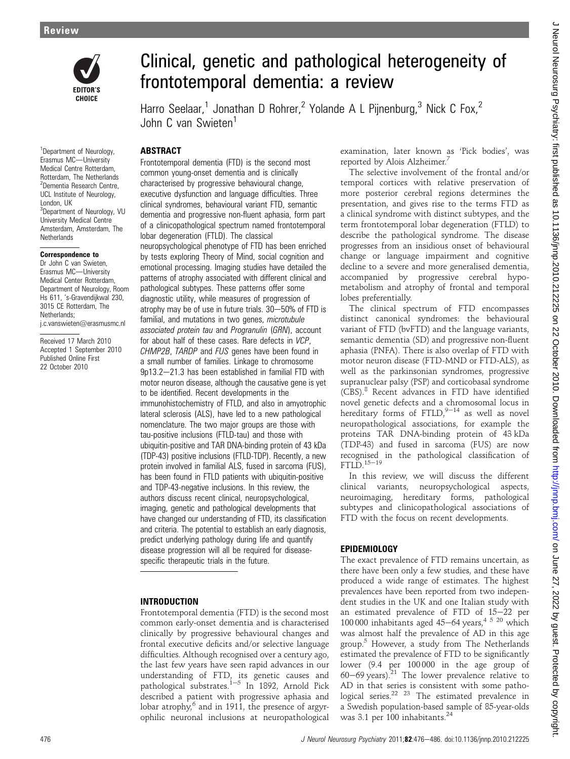

#### <sup>1</sup>Department of Neurology, Erasmus MC-University Medical Centre Rotterdam, Rotterdam, The Netherlands <sup>2</sup>Dementia Research Centre, UCL Institute of Neurology, London, UK <sup>3</sup>Department of Neurology, VU University Medical Centre Amsterdam, Amsterdam, The **Netherlands**

#### Correspondence to

Dr John C van Swieten, Erasmus MC-University Medical Center Rotterdam, Department of Neurology, Room Hs 611, 's-Gravendijkwal 230, 3015 CE Rotterdam, The Netherlands; j.c.vanswieten@erasmusmc.nl

Received 17 March 2010 Accepted 1 September 2010 Published Online First 22 October 2010

# Clinical, genetic and pathological heterogeneity of frontotemporal dementia: a review

Harro Seelaar,<sup>1</sup> Jonathan D Rohrer,<sup>2</sup> Yolande A L Pijnenburg,<sup>3</sup> Nick C Fox,<sup>2</sup> John C van Swieten<sup>1</sup>

# **ABSTRACT**

Frontotemporal dementia (FTD) is the second most common young-onset dementia and is clinically characterised by progressive behavioural change, executive dysfunction and language difficulties. Three clinical syndromes, behavioural variant FTD, semantic dementia and progressive non-fluent aphasia, form part of a clinicopathological spectrum named frontotemporal lobar degeneration (FTLD). The classical

neuropsychological phenotype of FTD has been enriched by tests exploring Theory of Mind, social cognition and emotional processing. Imaging studies have detailed the patterns of atrophy associated with different clinical and pathological subtypes. These patterns offer some diagnostic utility, while measures of progression of atrophy may be of use in future trials.  $30-50%$  of FTD is familial, and mutations in two genes, *microtubule* associated protein tau and Progranulin (GRN), account for about half of these cases. Rare defects in VCP, CHMP2B, TARDP and FUS genes have been found in a small number of families. Linkage to chromosome 9p13.2-21.3 has been established in familial FTD with motor neuron disease, although the causative gene is yet to be identified. Recent developments in the immunohistochemistry of FTLD, and also in amyotrophic lateral sclerosis (ALS), have led to a new pathological nomenclature. The two major groups are those with tau-positive inclusions (FTLD-tau) and those with ubiquitin-positive and TAR DNA-binding protein of 43 kDa (TDP-43) positive inclusions (FTLD-TDP). Recently, a new protein involved in familial ALS, fused in sarcoma (FUS), has been found in FTLD patients with ubiquitin-positive and TDP-43-negative inclusions. In this review, the authors discuss recent clinical, neuropsychological, imaging, genetic and pathological developments that have changed our understanding of FTD, its classification and criteria. The potential to establish an early diagnosis, predict underlying pathology during life and quantify disease progression will all be required for diseasespecific therapeutic trials in the future.

# INTRODUCTION

Frontotemporal dementia (FTD) is the second most common early-onset dementia and is characterised clinically by progressive behavioural changes and frontal executive deficits and/or selective language difficulties. Although recognised over a century ago, the last few years have seen rapid advances in our understanding of FTD, its genetic causes and pathological substrates.<sup>1-5</sup> In 1892, Arnold Pick described a patient with progressive aphasia and lobar atrophy, $6$  and in 1911, the presence of argyrophilic neuronal inclusions at neuropathological

examination, later known as 'Pick bodies', was reported by Alois Alzheimer.<sup>7</sup>

The selective involvement of the frontal and/or temporal cortices with relative preservation of more posterior cerebral regions determines the presentation, and gives rise to the terms FTD as a clinical syndrome with distinct subtypes, and the term frontotemporal lobar degeneration (FTLD) to describe the pathological syndrome. The disease progresses from an insidious onset of behavioural change or language impairment and cognitive decline to a severe and more generalised dementia, accompanied by progressive cerebral hypometabolism and atrophy of frontal and temporal lobes preferentially.

The clinical spectrum of FTD encompasses distinct canonical syndromes: the behavioural variant of FTD (bvFTD) and the language variants, semantic dementia (SD) and progressive non-fluent aphasia (PNFA). There is also overlap of FTD with motor neuron disease (FTD-MND or FTD-ALS), as well as the parkinsonian syndromes, progressive supranuclear palsy (PSP) and corticobasal syndrome (CBS).<sup>8</sup> Recent advances in FTD have identified novel genetic defects and a chromosomal locus in hereditary forms of FTLD, $9-14$  as well as novel neuropathological associations, for example the proteins TAR DNA-binding protein of 43 kDa (TDP-43) and fused in sarcoma (FUS) are now recognised in the pathological classification of  $FTL\check{D}.^{15-19}$ 

In this review, we will discuss the different clinical variants, neuropsychological aspects, neuroimaging, hereditary forms, pathological subtypes and clinicopathological associations of FTD with the focus on recent developments.

# EPIDEMIOLOGY

The exact prevalence of FTD remains uncertain, as there have been only a few studies, and these have produced a wide range of estimates. The highest prevalences have been reported from two independent studies in the UK and one Italian study with an estimated prevalence of FTD of  $15-22$  per 100 000 inhabitants aged 45–64 years,  $4\frac{5}{20}$  which was almost half the prevalence of AD in this age group.<sup>5</sup> However, a study from The Netherlands estimated the prevalence of FTD to be significantly lower (9.4 per 100 000 in the age group of 60–69 years).<sup>21</sup> The lower prevalence relative to AD in that series is consistent with some pathological series.<sup>22 23</sup> The estimated prevalence in a Swedish population-based sample of 85-year-olds was 3.1 per 100 inhabitants.<sup>24</sup>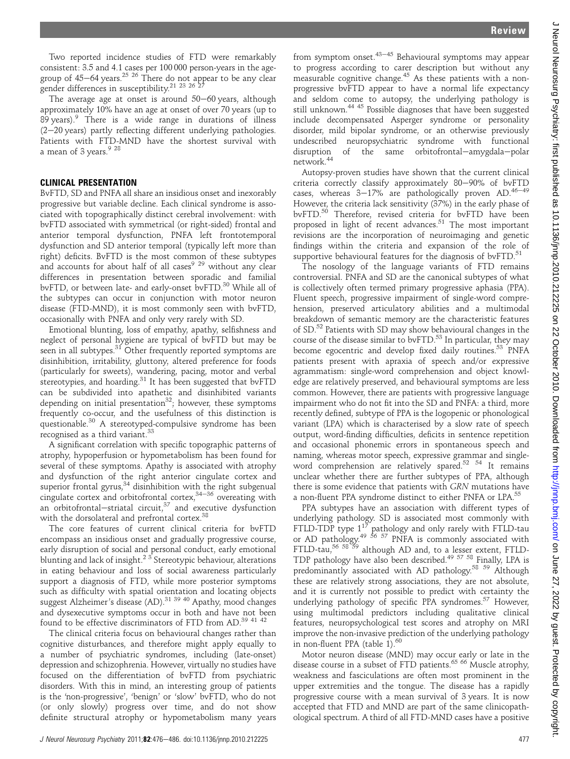Two reported incidence studies of FTD were remarkably consistent: 3.5 and 4.1 cases per 100 000 person-years in the agegroup of 45–64 years.<sup>25 26</sup> There do not appear to be any clear gender differences in susceptibility.<sup>21 23 26 27</sup>

The average age at onset is around  $50-60$  years, although approximately 10% have an age at onset of over 70 years (up to 89 years).<sup>9</sup> There is a wide range in durations of illness  $(2-20 \text{ years})$  partly reflecting different underlying pathologies. Patients with FTD-MND have the shortest survival with a mean of 3 years.<sup>9</sup> <sup>28</sup>

## CLINICAL PRESENTATION

BvFTD, SD and PNFA all share an insidious onset and inexorably progressive but variable decline. Each clinical syndrome is associated with topographically distinct cerebral involvement: with bvFTD associated with symmetrical (or right-sided) frontal and anterior temporal dysfunction, PNFA left frontotemporal dysfunction and SD anterior temporal (typically left more than right) deficits. BvFTD is the most common of these subtypes and accounts for about half of all cases<sup>9 29</sup> without any clear differences in presentation between sporadic and familial bvFTD, or between late- and early-onset bvFTD.<sup>30</sup> While all of the subtypes can occur in conjunction with motor neuron disease (FTD-MND), it is most commonly seen with bvFTD, occasionally with PNFA and only very rarely with SD.

Emotional blunting, loss of empathy, apathy, selfishness and neglect of personal hygiene are typical of bvFTD but may be seen in all subtypes.<sup>31</sup> Other frequently reported symptoms are disinhibition, irritability, gluttony, altered preference for foods (particularly for sweets), wandering, pacing, motor and verbal stereotypies, and hoarding.<sup>31</sup> It has been suggested that bvFTD can be subdivided into apathetic and disinhibited variants depending on initial presentation<sup>32</sup>; however, these symptoms frequently co-occur, and the usefulness of this distinction is questionable.<sup>30</sup> A stereotyped-compulsive syndrome has been recognised as a third variant.<sup>33</sup>

A significant correlation with specific topographic patterns of atrophy, hypoperfusion or hypometabolism has been found for several of these symptoms. Apathy is associated with atrophy and dysfunction of the right anterior cingulate cortex and superior frontal gyrus, $34$  disinhibition with the right subgenual cingulate cortex and orbitofrontal cortex, $34-36$  overeating with an orbitofrontal-striatal circuit, $37$  and executive dysfunction with the dorsolateral and prefrontal cortex.<sup>38</sup>

The core features of current clinical criteria for bvFTD encompass an insidious onset and gradually progressive course, early disruption of social and personal conduct, early emotional blunting and lack of insight.<sup>23</sup> Stereotypic behaviour, alterations in eating behaviour and loss of social awareness particularly support a diagnosis of FTD, while more posterior symptoms such as difficulty with spatial orientation and locating objects suggest Alzheimer's disease (AD).<sup>31 39 40</sup> Apathy, mood changes and dysexecutive symptoms occur in both and have not been found to be effective discriminators of FTD from AD.39 41 42

The clinical criteria focus on behavioural changes rather than cognitive disturbances, and therefore might apply equally to a number of psychiatric syndromes, including (late-onset) depression and schizophrenia. However, virtually no studies have focused on the differentiation of bvFTD from psychiatric disorders. With this in mind, an interesting group of patients is the 'non-progressive', 'benign' or 'slow' bvFTD, who do not (or only slowly) progress over time, and do not show definite structural atrophy or hypometabolism many years

from symptom onset. $43-45$  Behavioural symptoms may appear to progress according to carer description but without any measurable cognitive change.45 As these patients with a nonprogressive bvFTD appear to have a normal life expectancy and seldom come to autopsy, the underlying pathology is still unknown.44 45 Possible diagnoses that have been suggested include decompensated Asperger syndrome or personality disorder, mild bipolar syndrome, or an otherwise previously undescribed neuropsychiatric syndrome with functional disruption of the same orbitofrontal-amygdala-polar network.<sup>44</sup>

Autopsy-proven studies have shown that the current clinical criteria correctly classify approximately 80-90% of bvFTD cases, whereas  $3-17\%$  are pathologically proven AD.<sup>46-49</sup> However, the criteria lack sensitivity (37%) in the early phase of bvFTD.<sup>50</sup> Therefore, revised criteria for bvFTD have been proposed in light of recent advances.<sup>51</sup> The most important revisions are the incorporation of neuroimaging and genetic findings within the criteria and expansion of the role of supportive behavioural features for the diagnosis of bvFTD. $51$ 

The nosology of the language variants of FTD remains controversial. PNFA and SD are the canonical subtypes of what is collectively often termed primary progressive aphasia (PPA). Fluent speech, progressive impairment of single-word comprehension, preserved articulatory abilities and a multimodal breakdown of semantic memory are the characteristic features of SD.52 Patients with SD may show behavioural changes in the course of the disease similar to bvFTD.<sup>53</sup> In particular, they may become egocentric and develop fixed daily routines.<sup>53</sup> PNFA patients present with apraxia of speech and/or expressive agrammatism: single-word comprehension and object knowledge are relatively preserved, and behavioural symptoms are less common. However, there are patients with progressive language impairment who do not fit into the SD and PNFA: a third, more recently defined, subtype of PPA is the logopenic or phonological variant (LPA) which is characterised by a slow rate of speech output, word-finding difficulties, deficits in sentence repetition and occasional phonemic errors in spontaneous speech and naming, whereas motor speech, expressive grammar and singleword comprehension are relatively spared.52 54 It remains unclear whether there are further subtypes of PPA, although there is some evidence that patients with GRN mutations have a non-fluent PPA syndrome distinct to either PNFA or LPA.<sup>55</sup>

PPA subtypes have an association with different types of underlying pathology. SD is associated most commonly with FTLD-tau FTLD-tau FTLD-TDP type  $1^{17}$  pathology and only rarely with FTLD-tau or AD pathology.<sup>49 56 57</sup> PNFA is commonly associated with FTLD-tau,<sup>56 58 59</sup> although AD and, to a lesser extent, FTLD-<br> $F$ TLD-tau,<sup>56 58 59</sup> although AD and, to a lesser extent, FTLD-TDP pathology have also been described.49 57 58 Finally, LPA is predominantly associated with AD pathology.58 59 Although these are relatively strong associations, they are not absolute, and it is currently not possible to predict with certainty the underlying pathology of specific PPA syndromes.<sup>57</sup> However, using multimodal predictors including qualitative clinical features, neuropsychological test scores and atrophy on MRI improve the non-invasive prediction of the underlying pathology in non-fluent PPA (table  $1$ ).<sup>60</sup>

Motor neuron disease (MND) may occur early or late in the disease course in a subset of FTD patients.<sup>65</sup> 66 Muscle atrophy, weakness and fasciculations are often most prominent in the upper extremities and the tongue. The disease has a rapidly progressive course with a mean survival of 3 years. It is now accepted that FTD and MND are part of the same clinicopathological spectrum. A third of all FTD-MND cases have a positive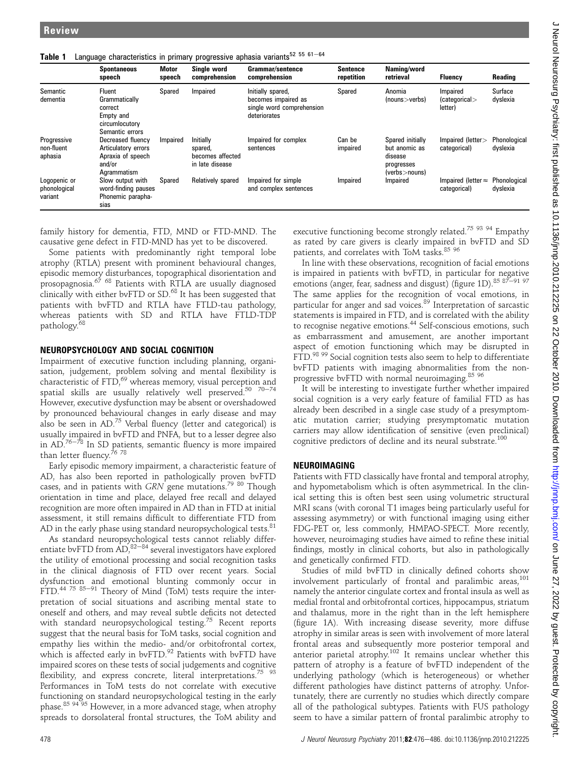|  |  |  |  |  |  |  | Table 1 Language characteristics in primary progressive aphasia variants <sup>52 55 61-64</sup> |  |
|--|--|--|--|--|--|--|-------------------------------------------------------------------------------------------------|--|
|--|--|--|--|--|--|--|-------------------------------------------------------------------------------------------------|--|

|                                         | <b>Spontaneous</b><br>speech                                                           | <b>Motor</b><br>speech | Single word<br>comprehension                                | Grammar/sentence<br>comprehension                                                     | <b>Sentence</b><br>repetition | Naming/word<br>retrieval                                                    | <b>Fluency</b>                             | Reading                  |
|-----------------------------------------|----------------------------------------------------------------------------------------|------------------------|-------------------------------------------------------------|---------------------------------------------------------------------------------------|-------------------------------|-----------------------------------------------------------------------------|--------------------------------------------|--------------------------|
| Semantic<br>dementia                    | Fluent<br>Grammatically<br>correct<br>Empty and<br>circumlocutory<br>Semantic errors   | Spared                 | Impaired                                                    | Initially spared,<br>becomes impaired as<br>single word comprehension<br>deteriorates | Spared                        | Anomia<br>(nouns > verbs)                                                   | Impaired<br>(categorical)<br>letter)       | Surface<br>dyslexia      |
| Progressive<br>non-fluent<br>aphasia    | Decreased fluency<br>Articulatory errors<br>Apraxia of speech<br>and/or<br>Agrammatism | Impaired               | Initially<br>spared,<br>becomes affected<br>in late disease | Impaired for complex<br>sentences                                                     | Can be<br>impaired            | Spared initially<br>but anomic as<br>disease<br>progresses<br>(verbs>nouns) | Impaired (letter><br>categorical)          | Phonological<br>dyslexia |
| Logopenic or<br>phonological<br>variant | Slow output with<br>word-finding pauses<br>Phonemic parapha-<br>sias                   | Spared                 | Relatively spared                                           | Impaired for simple<br>and complex sentences                                          | Impaired                      | Impaired                                                                    | Impaired (letter $\approx$<br>categorical) | Phonological<br>dyslexia |

family history for dementia, FTD, MND or FTD-MND. The causative gene defect in FTD-MND has yet to be discovered.

Some patients with predominantly right temporal lobe atrophy (RTLA) present with prominent behavioural changes, episodic memory disturbances, topographical disorientation and prosopagnosia.<sup>67 68</sup> Patients with RTLA are usually diagnosed clinically with either bvFTD or SD.<sup>68</sup> It has been suggested that patients with bvFTD and RTLA have FTLD-tau pathology, whereas patients with SD and RTLA have FTLD-TDP pathology. $<sup>6</sup>$ </sup>

#### NEUROPSYCHOLOGY AND SOCIAL COGNITION

Impairment of executive function including planning, organisation, judgement, problem solving and mental flexibility is characteristic of FTD,<sup>69</sup> whereas memory, visual perception and spatial skills are usually relatively well preserved.<sup>50</sup> <sup>70-74</sup> However, executive dysfunction may be absent or overshadowed by pronounced behavioural changes in early disease and may also be seen in  $AD^{75}$  Verbal fluency (letter and categorical) is usually impaired in bvFTD and PNFA, but to a lesser degree also in  $AD.^{76-78}$  In SD patients, semantic fluency is more impaired than letter fluency.<sup>76</sup> <sup>78</sup>

Early episodic memory impairment, a characteristic feature of AD, has also been reported in pathologically proven bvFTD cases, and in patients with  $GRN$  gene mutations.<sup>79 80</sup> Though orientation in time and place, delayed free recall and delayed recognition are more often impaired in AD than in FTD at initial assessment, it still remains difficult to differentiate FTD from AD in the early phase using standard neuropsychological tests. $81$ 

As standard neuropsychological tests cannot reliably differentiate bvFTD from  $AD$ ,  $82-84$  several investigators have explored the utility of emotional processing and social recognition tasks in the clinical diagnosis of FTD over recent years. Social dysfunction and emotional blunting commonly occur in FTD.<sup>44 75 85-91</sup> Theory of Mind (ToM) tests require the interpretation of social situations and ascribing mental state to oneself and others, and may reveal subtle deficits not detected with standard neuropsychological testing.<sup>75</sup> Recent reports suggest that the neural basis for ToM tasks, social cognition and empathy lies within the medio- and/or orbitofrontal cortex, which is affected early in bvFTD.<sup>92</sup> Patients with bvFTD have impaired scores on these tests of social judgements and cognitive flexibility, and express concrete, literal interpretations.<sup>75</sup>  $93$ Performances in ToM tests do not correlate with executive functioning on standard neuropsychological testing in the early phase.<sup>85 94 95</sup> However, in a more advanced stage, when atrophy spreads to dorsolateral frontal structures, the ToM ability and

executive functioning become strongly related.<sup>75 93 94</sup> Empathy as rated by care givers is clearly impaired in bvFTD and SD patients, and correlates with ToM tasks.<sup>85</sup> 96

In line with these observations, recognition of facial emotions is impaired in patients with bvFTD, in particular for negative emotions (anger, fear, sadness and disgust) (figure 1D).<sup>85 87-91 97</sup> The same applies for the recognition of vocal emotions, in particular for anger and sad voices.<sup>89</sup> Interpretation of sarcastic statements is impaired in FTD, and is correlated with the ability to recognise negative emotions.<sup>44</sup> Self-conscious emotions, such as embarrassment and amusement, are another important aspect of emotion functioning which may be disrupted in FTD.<sup>98 99</sup> Social cognition tests also seem to help to differentiate bvFTD patients with imaging abnormalities from the nonprogressive bvFTD with normal neuroimaging.85 96

It will be interesting to investigate further whether impaired social cognition is a very early feature of familial FTD as has already been described in a single case study of a presymptomatic mutation carrier; studying presymptomatic mutation carriers may allow identification of sensitive (even preclinical) cognitive predictors of decline and its neural substrate.<sup>100</sup>

#### NEUROIMAGING

Patients with FTD classically have frontal and temporal atrophy, and hypometabolism which is often asymmetrical. In the clinical setting this is often best seen using volumetric structural MRI scans (with coronal T1 images being particularly useful for assessing asymmetry) or with functional imaging using either FDG-PET or, less commonly, HMPAO-SPECT. More recently, however, neuroimaging studies have aimed to refine these initial findings, mostly in clinical cohorts, but also in pathologically and genetically confirmed FTD.

Studies of mild bvFTD in clinically defined cohorts show involvement particularly of frontal and paralimbic areas,<sup>101</sup> namely the anterior cingulate cortex and frontal insula as well as medial frontal and orbitofrontal cortices, hippocampus, striatum and thalamus, more in the right than in the left hemisphere (figure 1A). With increasing disease severity, more diffuse atrophy in similar areas is seen with involvement of more lateral frontal areas and subsequently more posterior temporal and anterior parietal atrophy.<sup>102</sup> It remains unclear whether this pattern of atrophy is a feature of bvFTD independent of the underlying pathology (which is heterogeneous) or whether different pathologies have distinct patterns of atrophy. Unfortunately, there are currently no studies which directly compare all of the pathological subtypes. Patients with FUS pathology seem to have a similar pattern of frontal paralimbic atrophy to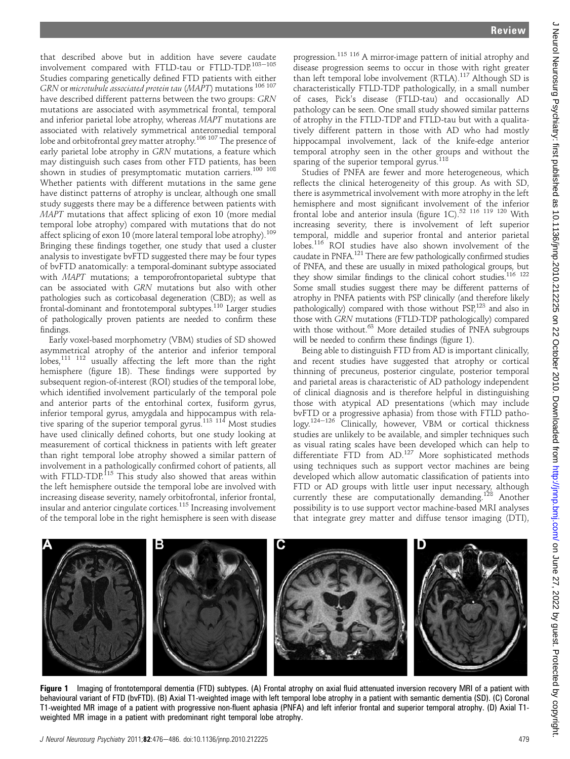progression.115 116 A mirror-image pattern of initial atrophy and disease progression seems to occur in those with right greater than left temporal lobe involvement (RTLA).<sup>117</sup> Although SD is characteristically FTLD-TDP pathologically, in a small number of cases, Pick's disease (FTLD-tau) and occasionally AD pathology can be seen. One small study showed similar patterns of atrophy in the FTLD-TDP and FTLD-tau but with a qualitatively different pattern in those with AD who had mostly hippocampal involvement, lack of the knife-edge anterior temporal atrophy seen in the other groups and without the sparing of the superior temporal gyrus.<sup>118</sup>

Studies of PNFA are fewer and more heterogeneous, which reflects the clinical heterogeneity of this group. As with SD, there is asymmetrical involvement with more atrophy in the left hemisphere and most significant involvement of the inferior frontal lobe and anterior insula (figure 1C). $52 \frac{116}{119} \frac{120}{120}$  With increasing severity, there is involvement of left superior temporal, middle and superior frontal and anterior parietal lobes.<sup>116</sup> ROI studies have also shown involvement of the caudate in PNFA.<sup>121</sup> There are few pathologically confirmed studies of PNFA, and these are usually in mixed pathological groups, but they show similar findings to the clinical cohort studies.<sup>116</sup> <sup>122</sup> Some small studies suggest there may be different patterns of atrophy in PNFA patients with PSP clinically (and therefore likely pathologically) compared with those without PSP,123 and also in those with GRN mutations (FTLD-TDP pathologically) compared with those without.<sup>63</sup> More detailed studies of PNFA subgroups will be needed to confirm these findings (figure 1).

Being able to distinguish FTD from AD is important clinically, and recent studies have suggested that atrophy or cortical thinning of precuneus, posterior cingulate, posterior temporal and parietal areas is characteristic of AD pathology independent of clinical diagnosis and is therefore helpful in distinguishing those with atypical AD presentations (which may include bvFTD or a progressive aphasia) from those with FTLD pathology.<sup>124-126</sup> Clinically, however, VBM or cortical thickness studies are unlikely to be available, and simpler techniques such as visual rating scales have been developed which can help to differentiate FTD from AD.<sup>127</sup> More sophisticated methods using techniques such as support vector machines are being developed which allow automatic classification of patients into FTD or AD groups with little user input necessary, although currently these are computationally demanding.<sup>128</sup> Another possibility is to use support vector machine-based MRI analyses that integrate grey matter and diffuse tensor imaging (DTI),



Figure 1 Imaging of frontotemporal dementia (FTD) subtypes. (A) Frontal atrophy on axial fluid attenuated inversion recovery MRI of a patient with behavioural variant of FTD (bvFTD). (B) Axial T1-weighted image with left temporal lobe atrophy in a patient with semantic dementia (SD). (C) Coronal T1-weighted MR image of a patient with progressive non-fluent aphasia (PNFA) and left inferior frontal and superior temporal atrophy. (D) Axial T1 weighted MR image in a patient with predominant right temporal lobe atrophy.

that described above but in addition have severe caudate involvement compared with FTLD-tau or FTLD-TDP. $^{103-105}$ Studies comparing genetically defined FTD patients with either GRN or microtubule associated protein tau (MAPT) mutations <sup>106 107</sup> have described different patterns between the two groups: GRN mutations are associated with asymmetrical frontal, temporal and inferior parietal lobe atrophy, whereas MAPT mutations are associated with relatively symmetrical anteromedial temporal lobe and orbitofrontal grey matter atrophy.<sup>106 107</sup> The presence of early parietal lobe atrophy in GRN mutations, a feature which may distinguish such cases from other FTD patients, has been shown in studies of presymptomatic mutation carriers.<sup>100</sup> <sup>108</sup> Whether patients with different mutations in the same gene have distinct patterns of atrophy is unclear, although one small study suggests there may be a difference between patients with MAPT mutations that affect splicing of exon 10 (more medial temporal lobe atrophy) compared with mutations that do not affect splicing of exon 10 (more lateral temporal lobe atrophy).<sup>109</sup> Bringing these findings together, one study that used a cluster analysis to investigate bvFTD suggested there may be four types of bvFTD anatomically: a temporal-dominant subtype associated with MAPT mutations; a temporofrontoparietal subtype that can be associated with GRN mutations but also with other pathologies such as corticobasal degeneration (CBD); as well as frontal-dominant and frontotemporal subtypes.110 Larger studies of pathologically proven patients are needed to confirm these

Early voxel-based morphometry (VBM) studies of SD showed asymmetrical atrophy of the anterior and inferior temporal lobes,<sup>111</sup> <sup>112</sup> usually affecting the left more than the right hemisphere (figure 1B). These findings were supported by subsequent region-of-interest (ROI) studies of the temporal lobe, which identified involvement particularly of the temporal pole and anterior parts of the entorhinal cortex, fusiform gyrus, inferior temporal gyrus, amygdala and hippocampus with relative sparing of the superior temporal gyrus.<sup>113</sup> 114 Most studies have used clinically defined cohorts, but one study looking at measurement of cortical thickness in patients with left greater than right temporal lobe atrophy showed a similar pattern of involvement in a pathologically confirmed cohort of patients, all with FTLD-TDP.<sup>115</sup> This study also showed that areas within the left hemisphere outside the temporal lobe are involved with increasing disease severity, namely orbitofrontal, inferior frontal, insular and anterior cingulate cortices.115 Increasing involvement of the temporal lobe in the right hemisphere is seen with disease

findings.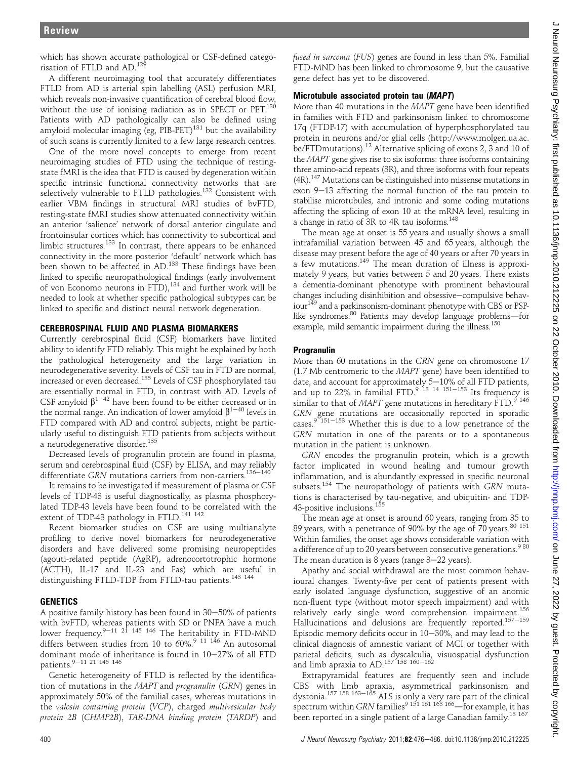which has shown accurate pathological or CSF-defined categorisation of FTLD and AD.<sup>12</sup>

A different neuroimaging tool that accurately differentiates FTLD from AD is arterial spin labelling (ASL) perfusion MRI, which reveals non-invasive quantification of cerebral blood flow, without the use of ionising radiation as in SPECT or PET.<sup>130</sup> Patients with AD pathologically can also be defined using amyloid molecular imaging (eg, PIB-PET)<sup>131</sup> but the availability of such scans is currently limited to a few large research centres.

One of the more novel concepts to emerge from recent neuroimaging studies of FTD using the technique of restingstate fMRI is the idea that FTD is caused by degeneration within specific intrinsic functional connectivity networks that are selectively vulnerable to FTLD pathologies.<sup>132</sup> Consistent with earlier VBM findings in structural MRI studies of bvFTD, resting-state fMRI studies show attenuated connectivity within an anterior 'salience' network of dorsal anterior cingulate and frontoinsular cortices which has connectivity to subcortical and limbic structures.<sup>133</sup> In contrast, there appears to be enhanced connectivity in the more posterior 'default' network which has been shown to be affected in AD.<sup>133</sup> These findings have been linked to specific neuropathological findings (early involvement of von Economo neurons in FTD),<sup>134</sup> and further work will be needed to look at whether specific pathological subtypes can be linked to specific and distinct neural network degeneration.

#### CEREBROSPINAL FLUID AND PLASMA BIOMARKERS

Currently cerebrospinal fluid (CSF) biomarkers have limited ability to identify FTD reliably. This might be explained by both the pathological heterogeneity and the large variation in neurodegenerative severity. Levels of CSF tau in FTD are normal, increased or even decreased.<sup>135</sup> Levels of CSF phosphorylated tau are essentially normal in FTD, in contrast with AD. Levels of CSF amyloid  $\beta^{1-42}$  have been found to be either decreased or in the normal range. An indication of lower amyloid  $\beta^{1-40}$  levels in FTD compared with AD and control subjects, might be particularly useful to distinguish FTD patients from subjects without a neurodegenerative disorder.<sup>135</sup>

Decreased levels of progranulin protein are found in plasma, serum and cerebrospinal fluid (CSF) by ELISA, and may reliably differentiate GRN mutations carriers from non-carriers.<sup>136-140</sup>

It remains to be investigated if measurement of plasma or CSF levels of TDP-43 is useful diagnostically, as plasma phosphorylated TDP-43 levels have been found to be correlated with the extent of TDP-43 pathology in FTLD.<sup>141 142</sup>

Recent biomarker studies on CSF are using multianalyte profiling to derive novel biomarkers for neurodegenerative disorders and have delivered some promising neuropeptides (agouti-related peptide (AgRP), adrenocortotrophic hormone (ACTH), IL-17 and IL-23 and Fas) which are useful in distinguishing FTLD-TDP from FTLD-tau patients.<sup>143</sup> <sup>144</sup>

# **GENETICS**

A positive family history has been found in  $30-50%$  of patients with bvFTD, whereas patients with SD or PNFA have a much<br>lower frequency.<sup>9—11-21-145-146</sup> The heritability in FTD-MND differs between studies from 10 to  $60\%$ . $^{9}$   $^{11}$   $^{146}$  An autosomal dominant mode of inheritance is found in 10-27% of all FTD patients.<sup>9–11</sup> 21 145 146

Genetic heterogeneity of FTLD is reflected by the identification of mutations in the MAPT and progranulin (GRN) genes in approximately 50% of the familial cases, whereas mutations in the valosin containing protein (VCP), charged multivesicular body protein 2B (CHMP2B), TAR-DNA binding protein (TARDP) and

fused in sarcoma (FUS) genes are found in less than 5%. Familial FTD-MND has been linked to chromosome 9, but the causative gene defect has yet to be discovered.

# Microtubule associated protein tau (MAPT)

More than 40 mutations in the MAPT gene have been identified in families with FTD and parkinsonism linked to chromosome 17q (FTDP-17) with accumulation of hyperphosphorylated tau protein in neurons and/or glial cells (http://www.molgen.ua.ac. be/FTDmutations).<sup>12</sup> Alternative splicing of exons 2, 3 and 10 of the MAPT gene gives rise to six isoforms: three isoforms containing three amino-acid repeats (3R), and three isoforms with four repeats  $(4R).$ <sup>147</sup> Mutations can be distinguished into missense mutations in exon 9-13 affecting the normal function of the tau protein to stabilise microtubules, and intronic and some coding mutations affecting the splicing of exon 10 at the mRNA level, resulting in a change in ratio of 3R to 4R tau isoforms.<sup>148</sup>

The mean age at onset is 55 years and usually shows a small intrafamilial variation between 45 and 65 years, although the disease may present before the age of 40 years or after 70 years in a few mutations.<sup>149</sup> The mean duration of illness is approximately 9 years, but varies between 5 and 20 years. There exists a dementia-dominant phenotype with prominent behavioural changes including disinhibition and obsessive-compulsive behaviour<sup>149</sup> and a parkinsonism-dominant phenotype with CBS or PSPlike syndromes. $80$  Patients may develop language problems—for example, mild semantic impairment during the illness.<sup>150</sup>

# Progranulin

More than 60 mutations in the GRN gene on chromosome 17 (1.7 Mb centromeric to the MAPT gene) have been identified to date, and account for approximately  $5-10\%$  of all FTD patients, and up to  $22\%$  in familial FTD.<sup>9 13 14 151-153</sup> Its frequency is similar to that of  $MAPT$  gene mutations in hereditary  $\text{FTD.}^9$  146 GRN gene mutations are occasionally reported in sporadic cases.<sup>9 151-153</sup> Whether this is due to a low penetrance of the GRN mutation in one of the parents or to a spontaneous mutation in the patient is unknown.

GRN encodes the progranulin protein, which is a growth factor implicated in wound healing and tumour growth inflammation, and is abundantly expressed in specific neuronal subsets.<sup>154</sup> The neuropathology of patients with  $GRN$  mutations is characterised by tau-negative, and ubiquitin- and TDP-43-positive inclusions.<sup>155</sup>

The mean age at onset is around 60 years, ranging from 35 to 89 years, with a penetrance of 90% by the age of 70 years.  $80$  151 Within families, the onset age shows considerable variation with a difference of up to 20 years between consecutive generations.<sup>980</sup> The mean duration is 8 years (range  $3-22$  years).

Apathy and social withdrawal are the most common behavioural changes. Twenty-five per cent of patients present with early isolated language dysfunction, suggestive of an anomic non-fluent type (without motor speech impairment) and with relatively early single word comprehension impairment.156 Hallucinations and delusions are frequently reported.<sup>157-159</sup> Episodic memory deficits occur in  $10-30%$ , and may lead to the clinical diagnosis of amnestic variant of MCI or together with parietal deficits, such as dyscalculia, visuospatial dysfunction<br>and limb apraxia to AD.<sup>157 158 160–162</sup>

Extrapyramidal features are frequently seen and include CBS with limb apraxia, asymmetrical parkinsonism and dystonia.<sup>157 158 163-165</sup> ALS is only a very rare part of the clinical spectrum within GRN families<sup>9 151 161 163 166</sup>—for example, it has been reported in a single patient of a large Canadian family.<sup>13 167</sup>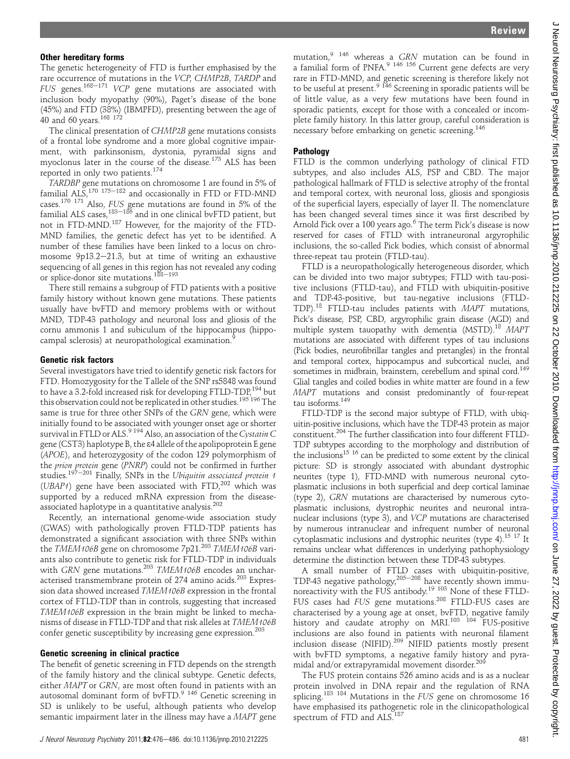#### Other hereditary forms

The genetic heterogeneity of FTD is further emphasised by the rare occurrence of mutations in the VCP, CHMP2B, TARDP and FUS genes.<sup>168–171</sup> VCP gene mutations are associated with inclusion body myopathy (90%), Paget's disease of the bone (45%) and FTD (38%) (IBMPFD), presenting between the age of 40 and 60 years.<sup>168 172</sup>

The clinical presentation of CHMP2B gene mutations consists of a frontal lobe syndrome and a more global cognitive impairment, with parkinsonism, dystonia, pyramidal signs and myoclonus later in the course of the disease.<sup>173</sup> ALS has been reported in only two patients.<sup>174</sup>

TARDBP gene mutations on chromosome 1 are found in 5% of familial  $AL\breve{S}$ ,<sup>170</sup>, <sup>175-182</sup> and occasionally in FTD or FTD-MND cases.170 171 Also, FUS gene mutations are found in 5% of the familial ALS cases,<sup>183–186</sup> and in one clinical bvFTD patient, but not in FTD-MND.187 However, for the majority of the FTD-MND families, the genetic defect has yet to be identified. A number of these families have been linked to a locus on chromosome 9p13.2-21.3, but at time of writing an exhaustive sequencing of all genes in this region has not revealed any coding or splice-donor site mutations.<sup>188-193</sup>

There still remains a subgroup of FTD patients with a positive family history without known gene mutations. These patients usually have bvFTD and memory problems with or without MND, TDP-43 pathology and neuronal loss and gliosis of the cornu ammonis 1 and subiculum of the hippocampus (hippocampal sclerosis) at neuropathological examination.<sup>9</sup>

#### Genetic risk factors

Several investigators have tried to identify genetic risk factors for FTD. Homozygosity for the Tallele of the SNP rs5848 was found to have a 3.2-fold increased risk for developing FTLD-TDP,<sup>194</sup> but this observation could not be replicated in other studies.<sup>195'196</sup> The same is true for three other SNPs of the GRN gene, which were initially found to be associated with younger onset age or shorter survival in FTLD or ALS.<sup>9 194</sup> Also, an association of the Cystatin C gene (CST3) haplotype B, the  $\varepsilon$ 4 allele of the apolipoprotein E gene (APOE), and heterozygosity of the codon 129 polymorphism of the prion protein gene (PNRP) could not be confirmed in further studies.<sup>197-201</sup> Finally, SNPs in the Ubiquitin associated protein 1 (UBAP1) gene have been associated with FTD, $^{202}$  which was supported by a reduced mRNA expression from the diseaseassociated haplotype in a quantitative analysis.<sup>202</sup>

Recently, an international genome-wide association study (GWAS) with pathologically proven FTLD-TDP patients has demonstrated a significant association with three SNPs within the TMEM106B gene on chromosome 7p21.<sup>203</sup> TMEM106B variants also contribute to genetic risk for FTLD-TDP in individuals with GRN gene mutations.<sup>203</sup> TMEM106B encodes an uncharacterised transmembrane protein of 274 amino acids.<sup>203</sup> Expression data showed increased TMEM106B expression in the frontal cortex of FTLD-TDP than in controls, suggesting that increased TMEM106B expression in the brain might be linked to mechanisms of disease in FTLD-TDP and that risk alleles at TMEM106B confer genetic susceptibility by increasing gene expression.<sup>203</sup>

#### Genetic screening in clinical practice

The benefit of genetic screening in FTD depends on the strength of the family history and the clinical subtype. Genetic defects, either MAPT or GRN, are most often found in patients with an autosomal dominant form of bvFTD.<sup>9</sup> <sup>146</sup> Genetic screening in SD is unlikely to be useful, although patients who develop semantic impairment later in the illness may have a MAPT gene

mutation,<sup>9 146</sup> whereas a GRN mutation can be found in a familial form of PNFA.<sup>9 146 156</sup> Current gene defects are very rare in FTD-MND, and genetic screening is therefore likely not to be useful at present.<sup>9 146</sup> Screening in sporadic patients will be of little value, as a very few mutations have been found in sporadic patients, except for those with a concealed or incomplete family history. In this latter group, careful consideration is necessary before embarking on genetic screening.<sup>146</sup>

#### Pathology

FTLD is the common underlying pathology of clinical FTD subtypes, and also includes ALS, PSP and CBD. The major pathological hallmark of FTLD is selective atrophy of the frontal and temporal cortex, with neuronal loss, gliosis and spongiosis of the superficial layers, especially of layer II. The nomenclature has been changed several times since it was first described by Arnold Pick over a 100 years ago.<sup>6</sup> The term Pick's disease is now reserved for cases of FTLD with intraneuronal argyrophilic inclusions, the so-called Pick bodies, which consist of abnormal three-repeat tau protein (FTLD-tau).

FTLD is a neuropathologically heterogeneous disorder, which can be divided into two major subtypes; FTLD with tau-positive inclusions (FTLD-tau), and FTLD with ubiquitin-positive and TDP-43-positive, but tau-negative inclusions (FTLD-TDP).<sup>18</sup> FTLD-tau includes patients with MAPT mutations, Pick's disease, PSP, CBD, argyrophilic grain disease (AGD) and multiple system tauopathy with dementia (MSTD).<sup>18</sup> MAPT mutations are associated with different types of tau inclusions (Pick bodies, neurofibrillar tangles and pretangles) in the frontal and temporal cortex, hippocampus and subcortical nuclei, and sometimes in midbrain, brainstem, cerebellum and spinal cord.<sup>149</sup> Glial tangles and coiled bodies in white matter are found in a few MAPT mutations and consist predominantly of four-repeat tau isoforms.149

FTLD-TDP is the second major subtype of FTLD, with ubiquitin-positive inclusions, which have the TDP-43 protein as major constituent.204 The further classification into four different FTLD-TDP subtypes according to the morphology and distribution of the inclusions<sup>15 16</sup> can be predicted to some extent by the clinical picture: SD is strongly associated with abundant dystrophic neurites (type 1), FTD-MND with numerous neuronal cytoplasmatic inclusions in both superficial and deep cortical laminae (type 2), GRN mutations are characterised by numerous cytoplasmatic inclusions, dystrophic neurites and neuronal intranuclear inclusions (type 3), and VCP mutations are characterised by numerous intranuclear and infrequent number of neuronal cytoplasmatic inclusions and dystrophic neurites (type 4).15 17 It remains unclear what differences in underlying pathophysiology determine the distinction between these TDP-43 subtypes.

A small number of FTLD cases with ubiquitin-positive, TDP-43 negative pathology, $205-208$  have recently shown immunoreactivity with the FUS antibody.<sup>19 103</sup> None of these FTLD-FUS cases had FUS gene mutations.<sup>208</sup> FTLD-FUS cases are characterised by a young age at onset, bvFTD, negative family history and caudate atrophy on MRI.<sup>103 104</sup> FUS-positive inclusions are also found in patients with neuronal filament inclusion disease (NIFID).<sup>209</sup> NIFID patients mostly present with bvFTD symptoms, a negative family history and pyramidal and/or extrapyramidal movement disorder.<sup>205</sup>

The FUS protein contains 526 amino acids and is as a nuclear protein involved in DNA repair and the regulation of RNA splicing.<sup>183 184</sup> Mutations in the FUS gene on chromosome 16 have emphasised its pathogenetic role in the clinicopathological spectrum of FTD and ALS.<sup>187</sup>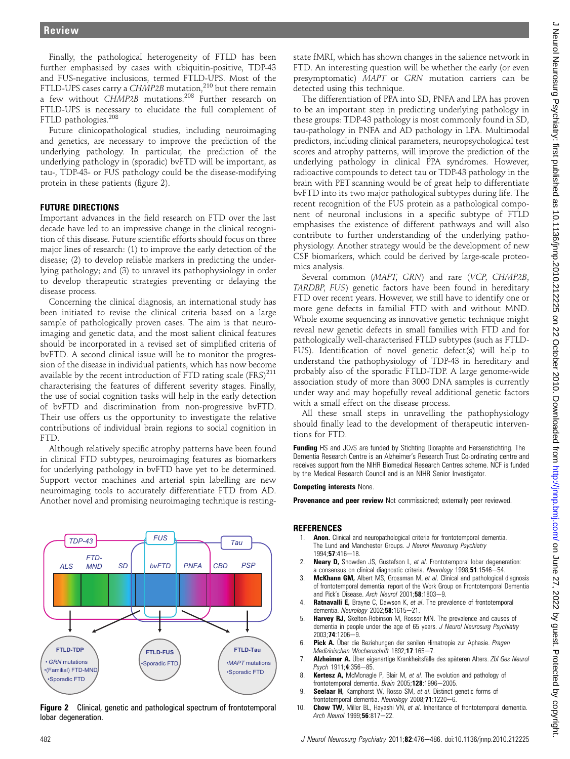Finally, the pathological heterogeneity of FTLD has been further emphasised by cases with ubiquitin-positive, TDP-43 and FUS-negative inclusions, termed FTLD-UPS. Most of the FTLD-UPS cases carry a CHMP2B mutation.<sup>210</sup> but there remain a few without CHMP2B mutations.<sup>208</sup> Further research on FTLD-UPS is necessary to elucidate the full complement of FTLD pathologies.<sup>208</sup>

Future clinicopathological studies, including neuroimaging and genetics, are necessary to improve the prediction of the underlying pathology. In particular, the prediction of the underlying pathology in (sporadic) bvFTD will be important, as tau-, TDP-43- or FUS pathology could be the disease-modifying protein in these patients (figure 2).

## FUTURE DIRECTIONS

Important advances in the field research on FTD over the last decade have led to an impressive change in the clinical recognition of this disease. Future scientific efforts should focus on three major lines of research: (1) to improve the early detection of the disease; (2) to develop reliable markers in predicting the underlying pathology; and (3) to unravel its pathophysiology in order to develop therapeutic strategies preventing or delaying the disease process.

Concerning the clinical diagnosis, an international study has been initiated to revise the clinical criteria based on a large sample of pathologically proven cases. The aim is that neuroimaging and genetic data, and the most salient clinical features should be incorporated in a revised set of simplified criteria of bvFTD. A second clinical issue will be to monitor the progression of the disease in individual patients, which has now become available by the recent introduction of FTD rating scale  $(FRS)^{211}$ characterising the features of different severity stages. Finally, the use of social cognition tasks will help in the early detection of bvFTD and discrimination from non-progressive bvFTD. Their use offers us the opportunity to investigate the relative contributions of individual brain regions to social cognition in FTD.

Although relatively specific atrophy patterns have been found in clinical FTD subtypes, neuroimaging features as biomarkers for underlying pathology in bvFTD have yet to be determined. Support vector machines and arterial spin labelling are new neuroimaging tools to accurately differentiate FTD from AD. Another novel and promising neuroimaging technique is resting-



**Figure 2** Clinical, genetic and pathological spectrum of frontotemporal lobar degeneration.

state fMRI, which has shown changes in the salience network in FTD. An interesting question will be whether the early (or even presymptomatic) MAPT or GRN mutation carriers can be detected using this technique.

The differentiation of PPA into SD, PNFA and LPA has proven to be an important step in predicting underlying pathology in these groups: TDP-43 pathology is most commonly found in SD, tau-pathology in PNFA and AD pathology in LPA. Multimodal predictors, including clinical parameters, neuropsychological test scores and atrophy patterns, will improve the prediction of the underlying pathology in clinical PPA syndromes. However, radioactive compounds to detect tau or TDP-43 pathology in the brain with PET scanning would be of great help to differentiate bvFTD into its two major pathological subtypes during life. The recent recognition of the FUS protein as a pathological component of neuronal inclusions in a specific subtype of FTLD emphasises the existence of different pathways and will also contribute to further understanding of the underlying pathophysiology. Another strategy would be the development of new CSF biomarkers, which could be derived by large-scale proteomics analysis.

Several common (MAPT, GRN) and rare (VCP, CHMP2B, TARDBP, FUS) genetic factors have been found in hereditary FTD over recent years. However, we still have to identify one or more gene defects in familial FTD with and without MND. Whole exome sequencing as innovative genetic technique might reveal new genetic defects in small families with FTD and for pathologically well-characterised FTLD subtypes (such as FTLD-FUS). Identification of novel genetic defect(s) will help to understand the pathophysiology of TDP-43 in hereditary and probably also of the sporadic FTLD-TDP. A large genome-wide association study of more than 3000 DNA samples is currently under way and may hopefully reveal additional genetic factors with a small effect on the disease process.

All these small steps in unravelling the pathophysiology should finally lead to the development of therapeutic interventions for FTD.

Funding HS and JCvS are funded by Stichting Dioraphte and Hersenstichting. The Dementia Research Centre is an Alzheimer's Research Trust Co-ordinating centre and receives support from the NIHR Biomedical Research Centres scheme. NCF is funded by the Medical Research Council and is an NIHR Senior Investigator.

#### Competing interests None.

Provenance and peer review Not commissioned; externally peer reviewed.

#### **REFERENCES**

- 1. **Anon.** Clinical and neuropathological criteria for frontotemporal dementia. The Lund and Manchester Groups. J Neurol Neurosurg Psychiatry 1994:57:416-18.
- 2. **Neary D,** Snowden JS, Gustafson L, et al. Frontotemporal lobar degeneration: a consensus on clinical diagnostic criteria. Neurology 1998;51:1546-54.
- 3. **McKhann GM,** Albert MS, Grossman M, et al. Clinical and pathological diagnosis of frontotemporal dementia: report of the Work Group on Frontotemporal Dementia and Pick's Disease. Arch Neurol 2001;58:1803-9.
- 4. **Ratnavalli E,** Brayne C, Dawson K, et al. The prevalence of frontotemporal dementia. Neurology  $2002;58:1615-21$ .
- 5. Harvey RJ, Skelton-Robinson M, Rossor MN. The prevalence and causes of dementia in people under the age of 65 years. J Neurol Neurosurg Psychiatry  $2003:74:1206 - 9.$
- 6. Pick A. Über die Beziehungen der senilen Hirnatropie zur Aphasie. Pragen Medizinischen Wochenschrift 1892:17:165-7.
- 7. Alzheimer A. Über eigenartige Krankheitsfälle des späteren Alters. Zbl Ges Neurol Psych 1911;4:356-85.
- 8. **Kertesz A,** McMonagle P, Blair M, et al. The evolution and pathology of frontotemporal dementia. Brain  $2005; 128:1996-2005$ .
- 9. **Seelaar H,** Kamphorst W, Rosso SM, et al. Distinct genetic forms of frontotemporal dementia. Neurology 2008;71:1220-6.
- 10. Chow TW, Miller BL, Hayashi VN, et al. Inheritance of frontotemporal dementia. Arch Neurol 1999;56:817-22.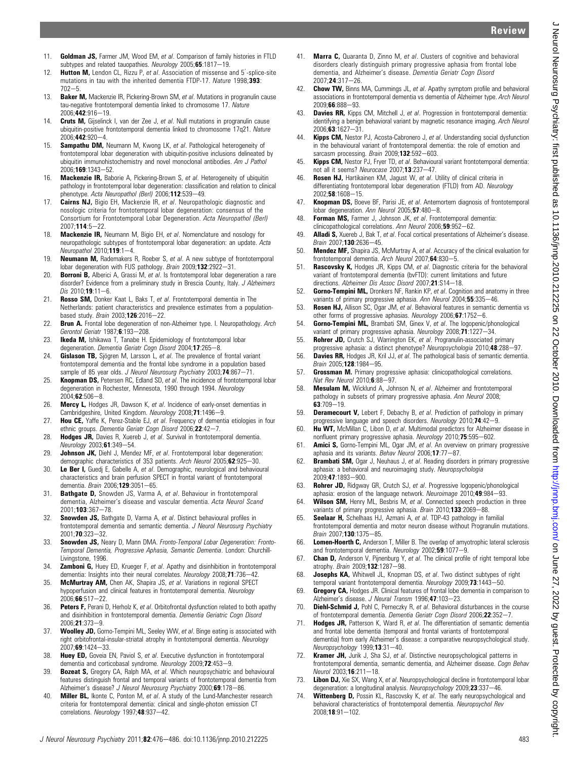J Neurol Neurosurg Psychiatry: first published as 10.11136/jnnp.2010.212225 on 22 October 2010. Downloaded from http://jnnp.bmj.com/ on June 27, 2022 by guest. Protected by copyright. J Neurol Neurosurg Psychiatry: first published as 10.11136/jnnp.2010.212225 on 22 October 2010. Downloaded from from Unip.//jnnp.bmj.com/ on June 27, 2022 by guest. Protected by copyright.

- 11. Goldman J.S. Farmer J.M. Wood FM et al. Comparison of family histories in FTLD subtypes and related tauopathies. Neurology 2005;65:1817-19.
- 12. Hutton M, Lendon CL, Rizzu P, et al. Association of missense and 5'-splice-site mutations in tau with the inherited dementia FTDP-17. Nature 1998;393:  $702 - 5$
- 13. Baker M, Mackenzie IR, Pickering-Brown SM, et al. Mutations in progranulin cause tau-negative frontotemporal dementia linked to chromosome 17. Nature 2006;442:916-19
- 14. **Cruts M,** Gijselinck I, van der Zee J, et al. Null mutations in progranulin cause ubiquitin-positive frontotemporal dementia linked to chromosome 17q21. Nature  $2006:442:920-4.$
- 15. Sampathu DM, Neumann M, Kwong LK, et al. Pathological heterogeneity of frontotemporal lobar degeneration with ubiquitin-positive inclusions delineated by ubiquitin immunohistochemistry and novel monoclonal antibodies. Am J Pathol 2006:169:1343-52.
- 16. Mackenzie IR, Baborie A, Pickering-Brown S, et al. Heterogeneity of ubiquitin pathology in frontotemporal lobar degeneration: classification and relation to clinical phenotype. Acta Neuropathol (Berl) 2006;112:539-49.
- 17. Cairns NJ, Bigio EH, Mackenzie IR, et al. Neuropathologic diagnostic and nosologic criteria for frontotemporal lobar degeneration: consensus of the Consortium for Frontotemporal Lobar Degeneration. Acta Neuropathol (Berl) 2007:114:5-22.
- 18. Mackenzie IR, Neumann M, Bigio EH, et al. Nomenclature and nosology for neuropathologic subtypes of frontotemporal lobar degeneration: an update. Acta Neuropathol  $2010:119:1-4$ .
- 19. Neumann M, Rademakers R, Roeber S, et al. A new subtype of frontotemporal lobar degeneration with FUS pathology. Brain 2009;132:2922-31.
- 20. **Borroni B,** Alberici A, Grassi M, et al. Is frontotemporal lobar degeneration a rare disorder? Evidence from a preliminary study in Brescia County, Italy. J Alzheimers Dis  $2010; 19:11 - 6$ .
- 21. Rosso SM, Donker Kaat L, Baks T, et al. Frontotemporal dementia in The Netherlands: patient characteristics and prevalence estimates from a populationbased study. Brain 2003;126:2016-22.
- 22. Brun A. Frontal lobe degeneration of non-Alzheimer type. I. Neuropathology. Arch Gerontol Geriatr 1987:6:193-208.
- 23. **Ikeda M,** Ishikawa T, Tanabe H. Epidemiology of frontotemporal lobar degeneration. Dementia Geriatr Cogn Disord 2004;17:265-8.
- 24. **Gislason TB,** Sjögren M, Larsson L, et al. The prevalence of frontal variant frontotemporal dementia and the frontal lobe syndrome in a population based sample of 85 year olds. J Neurol Neurosurg Psychiatry 2003;74:867-71.
- 25. **Knopman DS, Petersen RC, Edland SD, et al. The incidence of frontotemporal lobar** degeneration in Rochester, Minnesota, 1990 through 1994. Neurology  $2004:62:506-8.$
- 26. Mercy L, Hodges JR, Dawson K, et al. Incidence of early-onset dementias in Cambridgeshire, United Kingdom. Neurology 2008;71:1496-9.
- 27. Hou CE, Yaffe K, Perez-Stable EJ, et al. Frequency of dementia etiologies in four ethnic groups. Dementia Geriatr Cogn Disord 2006;22:42-7.
- 28. Hodges JR, Davies R, Xuereb J, et al. Survival in frontotemporal dementia. Neurology 2003;61:349-54.
- 29. Johnson JK, Diehl J, Mendez MF, et al. Frontotemporal lobar degeneration: demographic characteristics of 353 patients. Arch Neurol 2005;62:925-30.
- 30. Le Ber I, Guedj E, Gabelle A, et al. Demographic, neurological and behavioural characteristics and brain perfusion SPECT in frontal variant of frontotemporal dementia. Brain 2006;129:3051-65.
- 31. **Bathgate D,** Snowden JS, Varma A, et al. Behaviour in frontotemporal dementia, Alzheimer's disease and vascular dementia. Acta Neurol Scand 2001:103:367-78
- 32. Snowden JS, Bathgate D, Varma A, et al. Distinct behavioural profiles in frontotemporal dementia and semantic dementia. J Neurol Neurosurg Psychiatry 2001:70:323-32.
- 33. Snowden JS, Neary D, Mann DMA. Fronto-Temporal Lobar Degeneration: Fronto-Temporal Dementia, Progressive Aphasia, Semantic Dementia. London: Churchill-Livinastone, 1996.
- 34. **Zamboni G,** Huey ED, Krueger F, et al. Apathy and disinhibition in frontotemporal dementia: Insights into their neural correlates. Neurology 2008;71:736-42.
- 35. McMurtray AM, Chen AK, Shapira JS, et al. Variations in regional SPECT hypoperfusion and clinical features in frontotemporal dementia. Neurology  $2006;66:517-22.$
- 36. Peters F, Perani D, Herholz K, et al. Orbitofrontal dysfunction related to both apathy and disinhibition in frontotemporal dementia. Dementia Geriatric Cogn Disord  $2006:21:373-9$
- 37. Woolley JD, Gorno-Tempini ML, Seeley WW, et al. Binge eating is associated with right orbitofrontal-insular-striatal atrophy in frontotemporal dementia. Neurology 2007:69:1424-33.
- 38. Huey ED, Goveia EN, Paviol S, et al. Executive dysfunction in frontotemporal dementia and corticobasal syndrome. Neurology  $2009;72:453-9$ .
- 39. Bozeat S, Gregory CA, Ralph MA, et al. Which neuropsychiatric and behavioural features distinguish frontal and temporal variants of frontotemporal dementia from Alzheimer's disease? J Neurol Neurosurg Psychiatry 2000;69:178-86.
- 40. **Miller BL,** Ikonte C, Ponton M, et al. A study of the Lund-Manchester research criteria for frontotemporal dementia: clinical and single-photon emission CT correlations. Neurology 1997;48:937-42.
- 41. **Marra C**, Quaranta D, Zinno M, et al. Clusters of cognitive and behavioral disorders clearly distinguish primary progressive aphasia from frontal lobe dementia, and Alzheimer's disease. Dementia Geriatr Cogn Disord 2007:24:317-26.
- 42. Chow TW, Binns MA, Cummings JL, et al. Apathy symptom profile and behavioral associations in frontotemporal dementia vs dementia of Alzheimer type. Arch Neurol 2009:66:888-93.
- 43. **Davies RR,** Kipps CM, Mitchell J, et al. Progression in frontotemporal dementia: identifying a benign behavioral variant by magnetic resonance imaging. Arch Neurol  $2006; 63:1627 - 31.$
- 44. **Kipps CM,** Nestor PJ, Acosta-Cabronero J, et al. Understanding social dysfunction in the behavioural variant of frontotemporal dementia: the role of emotion and sarcasm processing. Brain  $2009;$ 132:592-603.
- 45. **Kipps CM,** Nestor PJ, Fryer TD, et al. Behavioural variant frontotemporal dementia: not all it seems? Neurocase  $2007:13:237-47$ .
- 46. Rosen HJ, Hartikainen KM, Jagust W, et al. Utility of clinical criteria in differentiating frontotemporal lobar degeneration (FTLD) from AD. Neurology 2002:58:1608-15.
- 47. **Knopman DS,** Boeve BF, Parisi JE, et al. Antemortem diagnosis of frontotemporal lobar degeneration. Ann Neurol 2005;57:480-8.
- 48. Forman MS, Farmer J, Johnson JK, et al. Frontotemporal dementia: clinicopathological correlations. Ann Neurol 2006;59:952-62.
- 49. **Alladi S,** Xuereb J, Bak T, et al. Focal cortical presentations of Alzheimer's disease. Brain 2007:130:2636-45
- 50. **Mendez MF**, Shapira JS, McMurtray A, et al. Accuracy of the clinical evaluation for frontotemporal dementia. Arch Neurol 2007;64:830-5.
- 51. Rascovsky K, Hodges JR, Kipps CM, et al. Diagnostic criteria for the behavioral variant of frontotemporal dementia (bvFTD): current limitations and future directions. Alzheimer Dis Assoc Disord 2007;21:S14-18.
- 52. **Gorno-Tempini ML,** Dronkers NF, Rankin KP, et al. Cognition and anatomy in three variants of primary progressive aphasia. Ann Neurol 2004;55:335-46.
- 53. Rosen HJ, Allison SC, Ogar JM, et al. Behavioral features in semantic dementia vs other forms of progressive aphasias. Neurology 2006;67:1752-6.
- 54. **Gorno-Tempini ML,** Brambati SM, Ginex V, et al. The logopenic/phonological variant of primary progressive aphasia. Neurology  $2008;71:1227-34$ .
- 55. Rohrer JD, Crutch SJ, Warrington EK, et al. Progranulin-associated primary progressive aphasia: a distinct phenotype? Neuropsychologia 2010;48:288-97.
- 56. **Davies RR,** Hodges JR, Kril JJ, et al. The pathological basis of semantic dementia. Brain 2005;128:1984-95.
- 57. Grossman M. Primary progressive aphasia: clinicopathological correlations. Nat Rev Neurol  $2010 \cdot 6 \cdot 88 - 97$ .
- 58. Mesulam M, Wicklund A, Johnson N, et al. Alzheimer and frontotemporal pathology in subsets of primary progressive aphasia. Ann Neurol 2008;  $63:709 - 19.$
- 59. **Deramecourt V,** Lebert F, Debachy B, et al. Prediction of pathology in primary progressive language and speech disorders. Neurology 2010;74:42-9.
- 60. Hu WT, McMillan C, Libon D, et al. Multimodal predictors for Alzheimer disease in nonfluent primary progressive aphasia. Neurology 2010;75:595-602.
- 61. Amici S, Gorno-Tempini ML, Ogar JM, et al. An overview on primary progressive aphasia and its variants. Behav Neurol 2006;17:77-87.
- 62. Brambati SM, Ogar J, Neuhaus J, et al. Reading disorders in primary progressive aphasia: a behavioral and neuroimaging study. Neuropsychologia 2009;47:1893-900.
- 63. Rohrer JD, Ridgway GR, Crutch SJ, et al. Progressive logopenic/phonological aphasia: erosion of the language network. Neuroimage  $2010$ ; 49:984-93.
- 64. Wilson SM, Henry ML, Besbris M, et al. Connected speech production in three variants of primary progressive aphasia. Brain 2010;133:2069-88.
- 65. Seelaar H, Schelhaas HJ, Azmani A, et al. TDP-43 pathology in familial frontotemporal dementia and motor neuron disease without Progranulin mutations. Brain 2007:130:1375-85.
- 66. Lomen-Hoerth C, Anderson T, Miller B. The overlap of amyotrophic lateral sclerosis and frontotemporal dementia. Neurology 2002;59:1077-9.
- 67. Chan D, Anderson V, Pijnenburg Y, et al. The clinical profile of right temporal lobe atrophy. Brain 2009;132:1287-98.
- 68. **Josephs KA,** Whitwell JL, Knopman DS, et al. Two distinct subtypes of right temporal variant frontotemporal dementia. Neurology 2009;73:1443-50.
- 69. Gregory CA, Hodges JR. Clinical features of frontal lobe dementia in comparison to Alzheimer's disease. J Neural Transm 1996;47:103-23.
- 70. **Diehl-Schmid J,** Pohl C, Perneczky R, et al. Behavioral disturbances in the course of frontotemporal dementia. Dementia Geriatr Cogn Disord 2006:22:352-7.
- 71. **Hodges JR.** Patterson K, Ward R, et al. The differentiation of semantic dementia and frontal lobe dementia (temporal and frontal variants of frontotemporal dementia) from early Alzheimer's disease: a comparative neuropsychological study. Neuropsychology  $1999;13:31-40$ .
- 72. **Kramer JH,** Jurik J, Sha SJ, et al. Distinctive neuropsychological patterns in frontotemporal dementia, semantic dementia, and Alzheimer disease. Cogn Behav Neurol 2003:16:211-18
- 73. Libon DJ, Xie SX, Wang X, et al. Neuropsychological decline in frontotemporal lobar degeneration: a longitudinal analysis. Neuropsychology 2009;23:337-46.
- 74. Wittenberg D, Possin KL, Rascovsky K, et al. The early neuropsychological and behavioral characteristics of frontotemporal dementia. Neuropsychol Rev 2008;18:91-102.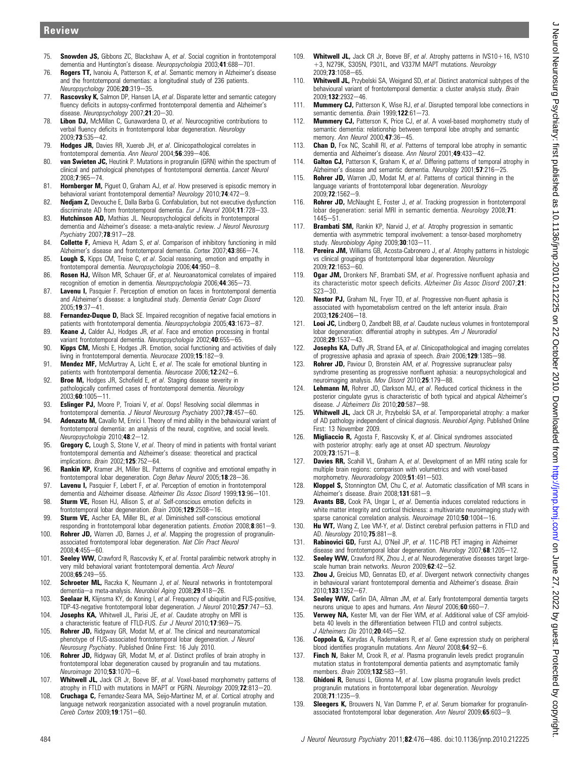- 75. **Snowden JS**, Gibbons 7C, Blackshaw A, et al. Social cognition in frontotemporal dementia and Huntington's disease. Neuropsychologia 2003;41:688-701.
- 76. Rogers TT, Ivanoiu A, Patterson K, et al. Semantic memory in Alzheimer's disease and the frontotemporal dementias: a longitudinal study of 236 patients. Neuropsychology 2006;20:319-35.
- 77. Rascovsky K, Salmon DP, Hansen LA, et al. Disparate letter and semantic category fluency deficits in autopsy-confirmed frontotemporal dementia and Alzheimer's disease. Neuropsychology 2007;21:20-30.
- 78. Libon DJ, McMillan C, Gunawardena D, et al. Neurocognitive contributions to verbal fluency deficits in frontotemporal lobar degeneration. Neurology 2009:73:535-42.
- 79. Hodges JR, Davies RR, Xuereb JH, et al. Clinicopathological correlates in frontotemporal dementia. Ann Neurol 2004;56:399-406
- 80. van Swieten JC, Heutink P. Mutations in progranulin (GRN) within the spectrum of clinical and pathological phenotypes of frontotemporal dementia. Lancet Neurol 2008;7:965-74
- 81. Hornberger M, Piguet O, Graham AJ, et al. How preserved is episodic memory in behavioral variant frontotemporal dementia? Neurology 2010;74:472-9.
- 82. **Nedjam Z,** Devouche E, Dalla Barba G. Confabulation, but not executive dysfunction discriminate AD from frontotemporal dementia. Eur J Neurol 2004;11:728-33.
- 83. **Hutchinson AD**, Mathias JL. Neuropsychological deficits in frontotemporal dementia and Alzheimer's disease: a meta-analytic review. J Neurol Neurosurg Psychiatry 2007;78:917-28.
- 84. **Collette F,** Amieva H, Adam S, et al. Comparison of inhibitory functioning in mild Alzheimer's disease and frontotemporal dementia. Cortex 2007:43:866-74.
- 85. **Lough S,** Kipps CM, Treise C, et al. Social reasoning, emotion and empathy in frontotemporal dementia. Neuropsychologia 2006;44:950-8.
- 86. Rosen HJ, Wilson MR, Schauer GF, et al. Neuroanatomical correlates of impaired recognition of emotion in dementia. Neuropsychologia 2006;44:365-73.
- 87. **Lavenu I,** Pasquier F. Perception of emotion on faces in frontotemporal dementia and Alzheimer's disease: a longitudinal study. Dementia Geriatr Cogn Disord 2005:19:37-41.
- 88. Fernandez-Duque D, Black SE. Impaired recognition of negative facial emotions in patients with frontotemporal dementia. Neuropsychologia 2005;43:1673-87.
- 89. **Keane J.** Calder AJ, Hodges JR, et al. Face and emotion processing in frontal variant frontotemporal dementia. Neuropsychologia 2002;40:655-65
- 90. **Kipps CM,** Mioshi E, Hodges JR. Emotion, social functioning and activities of daily living in frontotemporal dementia. Neurocase 2009;15:182-9.
- 91. **Mendez MF,** McMurtray A, Licht E, et al. The scale for emotional blunting in patients with frontotemporal dementia. Neurocase 2006;12:242-6.
- 92. **Broe M,** Hodges JR, Schofield E, et al. Staging disease severity in pathologically confirmed cases of frontotemporal dementia. Neurology  $2003, 60:1005 - 11.$
- 93. Eslinger PJ, Moore P, Troiani V, et al. Oops! Resolving social dilemmas in frontotemporal dementia. J Neurol Neurosurg Psychiatry 2007;78:457-60.
- 94. Adenzato M, Cavallo M, Enrici I. Theory of mind ability in the behavioural variant of frontotemporal dementia: an analysis of the neural, cognitive, and social levels. Neuropsychologia 2010;48:2-12.
- 95. Gregory C, Lough S, Stone V, et al. Theory of mind in patients with frontal variant frontotemporal dementia and Alzheimer's disease: theoretical and practical implications.  $Brain\ 2002 \cdot 125 \cdot 752 - 64$
- 96. Rankin KP, Kramer JH, Miller BL. Patterns of cognitive and emotional empathy in frontotemporal lobar degeneration. Cogn Behav Neurol 2005;18:28-36.
- 97. Lavenu I, Pasquier F, Lebert F, et al. Perception of emotion in frontotemporal dementia and Alzheimer disease. Alzheimer Dis Assoc Disord 1999;13:96-101.
- 98. Sturm VE, Rosen HJ, Allison S, et al. Self-conscious emotion deficits in frontotemporal lobar degeneration. Brain 2006;129:2508-16.
- 99. Sturm VE, Ascher EA, Miller BL, et al. Diminished self-conscious emotional responding in frontotemporal lobar degeneration patients. *Emotion* 2008; $8:861-9$ .
- 100. Rohrer JD, Warren JD, Barnes J, et al. Mapping the progression of progranulinassociated frontotemporal lobar degeneration. Nat Clin Pract Neurol 2008;4:455-60.
- 101. Seeley WW, Crawford R, Rascovsky K, et al. Frontal paralimbic network atrophy in very mild behavioral variant frontotemporal dementia. Arch Neurol  $2008.65.249 - 55.$
- 102. Schroeter ML, Raczka K, Neumann J, et al. Neural networks in frontotemporal dementia-a meta-analysis. Neurobiol Aging 2008;29:418-26.
- 103. Seelaar H, Klijnsma KY, de Koning I, et al. Frequency of ubiquitin and FUS-positive, TDP-43-negative frontotemporal lobar degeneration. J Neurol 2010;257:747-53.
- 104. **Josephs KA,** Whitwell JL, Parisi JE, et al. Caudate atrophy on MRI is a characteristic feature of FTLD-FUS. Eur J Neurol 2010;17:969-75
- 105. **Rohrer JD,** Ridgway GR, Modat M, et al. The clinical and neuroanatomical phenotype of FUS-associated frontotemporal lobar degeneration. J Neurol Neurosurg Psychiatry. Published Online First: 16 July 2010.
- 106. **Rohrer JD,** Ridgway GR, Modat M, et al. Distinct profiles of brain atrophy in frontotemporal lobar degeneration caused by progranulin and tau mutations. Neuroimage 2010;53:1070-6.
- 107. Whitwell JL, Jack CR Jr, Boeve BF, et al. Voxel-based morphometry patterns of atrophy in FTLD with mutations in MAPT or PGRN. Neurology 2009;72:813-20.
- 108. Cruchaga C, Fernandez-Seara MA, Seijo-Martinez M, et al. Cortical atrophy and language network reorganization associated with a novel progranulin mutation. Cereb Cortex 2009;19:1751-60.
- 109. Whitwell JL, Jack CB Jr. Boeve BF, et al. Atrophy patterns in IVS10+16, IVS10 +3, N279K, S305N, P301L, and V337M MAPT mutations. Neurology 2009:73:1058-65
- 110. Whitwell JL, Przybelski SA, Weigand SD, et al. Distinct anatomical subtypes of the behavioural variant of frontotemporal dementia: a cluster analysis study. Brain 2009:132:2932-46
- 111. **Mummery CJ,** Patterson K, Wise RJ, et al. Disrupted temporal lobe connections in semantic dementia. Brain  $1999;$  **122**:61-73.
- 112. Mummery CJ, Patterson K, Price CJ, et al. A voxel-based morphometry study of semantic dementia: relationship between temporal lobe atrophy and semantic memory. Ann Neurol  $2000:47:36-45$ .
- 113. Chan D, Fox NC, Scahill RI, et al. Patterns of temporal lobe atrophy in semantic dementia and Alzheimer's disease. Ann Neurol 2001;49:433-42.
- 114. Galton CJ, Patterson K, Graham K, et al. Differing patterns of temporal atrophy in Alzheimer's disease and semantic dementia. Neurology 2001:57:216-25.
- 115. **Rohrer JD,** Warren JD, Modat M, et al. Patterns of cortical thinning in the language variants of frontotemporal lobar degeneration. Neurology 2009:72:1562-9.
- 116. Rohrer JD, McNaught E, Foster J, et al. Tracking progression in frontotemporal lobar degeneration: serial MRI in semantic dementia. Neurology 2008;71:  $1445 - 51$
- 117. Brambati SM, Rankin KP, Narvid J, et al. Atrophy progression in semantic dementia with asymmetric temporal involvement: a tensor-based morphometry study. Neurobiology Aging 2009;30:103-11.
- 118. **Pereira JM, Williams GB, Acosta-Cabronero J, et al. Atrophy patterns in histologic** vs clinical groupings of frontotemporal lobar degeneration. Neurology 2009:72:1653-60.
- 119. Ogar JM, Dronkers NF, Brambati SM, et al. Progressive nonfluent aphasia and its characteristic motor speech deficits. Alzheimer Dis Assoc Disord 2007;21:  $S23 - 30$
- 120. Nestor PJ, Graham NL, Fryer TD, et al. Progressive non-fluent aphasia is associated with hypometabolism centred on the left anterior insula. Brain 2003;126:2406-18.
- 121. Looi JC, Lindberg O, Zandbelt BB, et al. Caudate nucleus volumes in frontotemporal lobar degeneration: differential atrophy in subtypes. Am J Neuroradiol  $2008:29:1537-43$
- 122. Josephs KA, Duffy JR, Strand EA, et al. Clinicopathological and imaging correlates of progressive aphasia and apraxia of speech. Brain 2006;129:1385-98.
- 123. Rohrer JD, Paviour D, Bronstein AM, et al. Progressive supranuclear palsy syndrome presenting as progressive nonfluent aphasia: a neuropsychological and neuroimaging analysis. Mov Disord 2010;25:179-88.
- 124. Lehmann M, Rohrer JD, Clarkson MJ, et al. Reduced cortical thickness in the posterior cingulate gyrus is characteristic of both typical and atypical Alzheimer's disease. J Alzheimers Dis  $2010;$ 20:587-98.
- 125. Whitwell JL, Jack CR Jr, Przybelski SA, et al. Temporoparietal atrophy: a marker of AD pathology independent of clinical diagnosis. Neurobiol Aging. Published Online First: 13 November 2009.
- 126. Migliaccio R, Agosta F, Rascovsky K, et al. Clinical syndromes associated with posterior atrophy: early age at onset AD spectrum. Neurology  $2009;73:1571-8.$
- 127. Davies RR, Scahill VL, Graham A, et al. Development of an MRI rating scale for multiple brain regions: comparison with volumetrics and with voxel-based morphometry. Neuroradiology 2009;51:491-503.
- 128. Kloppel S, Stonnington CM, Chu C, et al. Automatic classification of MR scans in Alzheimer's disease. Brain  $2008; 131:681-9$ .
- 129. Avants BB, Cook PA, Ungar L, et al. Dementia induces correlated reductions in white matter integrity and cortical thickness: a multivariate neuroimaging study with sparse canonical correlation analysis. Neuroimage 2010;50:1004-16.
- 130. Hu WT, Wang Z, Lee VM-Y, et al. Distinct cerebral perfusion patterns in FTLD and AD. Neurology 2010;75:881-8.
- 131. Rabinovici GD, Furst AJ, O'Neil JP, et al. 11C-PIB PET imaging in Alzheimer disease and frontotemporal lobar degeneration. Neurology 2007;68:1205-12.
- 132. Seeley WW, Crawford RK, Zhou J, et al. Neurodegenerative diseases target largescale human brain networks. Neuron 2009;62:42-52.
- 133. **Zhou J,** Greicius MD, Gennatas ED, et al. Divergent network connectivity changes in behavioural variant frontotemporal dementia and Alzheimer's disease. Brain 2010:133:1352-67
- 134. Seeley WW, Carlin DA, Allman JM, et al. Early frontotemporal dementia targets neurons unique to apes and humans. Ann Neurol 2006;60:660-7.
- 135. Verwey NA, Kester MI, van der Flier WM, et al. Additional value of CSF amyloidbeta 40 levels in the differentiation between FTLD and control subjects. J Alzheimers Dis  $2010;20:445-52$ .
- 136. Coppola G, Karydas A, Rademakers R, et al. Gene expression study on peripheral blood identifies progranulin mutations. Ann Neurol 2008;64:92-6.
- 137. **Finch N,** Baker M, Crook R, et al. Plasma progranulin levels predict progranulin mutation status in frontotemporal dementia patients and asymptomatic family members. Brain 2009;132:583-91.
- 138. Ghidoni R, Benussi L, Glionna M, et al. Low plasma progranulin levels predict progranulin mutations in frontotemporal lobar degeneration. Neurology 2008:71:1235-9.
- 139. Sleegers K, Brouwers N, Van Damme P, et al. Serum biomarker for progranulinassociated frontotemporal lobar degeneration. Ann Neurol 2009;65:603-9.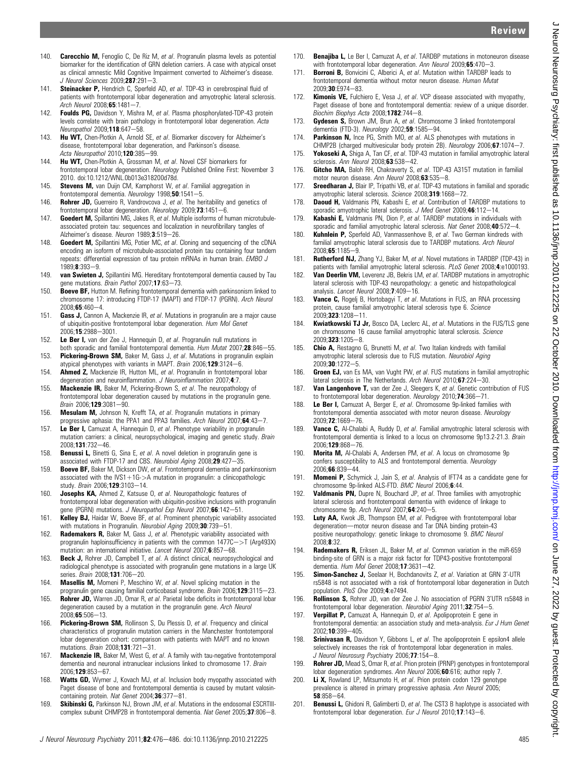Review

- 140. Carecchio M. Fenoglio C, De Riz M, et al. Progranulin plasma levels as potential biomarker for the identification of GRN deletion carriers. A case with atypical onset as clinical amnestic Mild Cognitive Impairment converted to Alzheimer's disease. J Neurol Sciences 2009;287:291-3.
- 141. **Steinacker P.** Hendrich C. Sperfeld AD, et al. TDP-43 in cerebrospinal fluid of patients with frontotemporal lobar degeneration and amyotrophic lateral sclerosis. Arch Neurol  $2008:65:1481-7$ .
- 142. Foulds PG, Davidson Y, Mishra M, et al. Plasma phosphorylated-TDP-43 protein levels correlate with brain pathology in frontotemporal lobar degeneration. Acta Neuropathol 2009;118:647-58.
- 143. **Hu WT,** Chen-Plotkin A, Arnold SE, et al. Biomarker discovery for Alzheimer's disease, frontotemporal lobar degeneration, and Parkinson's disease. Acta Neuropathol 2010;120:385-99.
- 144. Hu WT, Chen-Plotkin A, Grossman M, et al. Novel CSF biomarkers for frontotemporal lobar degeneration. Neurology Published Online First: November 3 2010. doi:10.1212/WNL.0b013e318200d78d.
- 145. **Stevens M, van Duijn CM, Kamphorst W, et al. Familial aggregation in** frontotemporal dementia. Neurology  $1998;50:1541-5$ .
- 146. **Rohrer JD,** Guerreiro R, Vandrovcova J, et al. The heritability and genetics of frontotemporal lobar degeneration. Neurology 2009;73:1451-6.
- 147. **Goedert M.** Spillantini MG, Jakes R, et al. Multiple isoforms of human microtubuleassociated protein tau: sequences and localization in neurofibrillary tangles of Alzheimer's disease. Neuron 1989;3:519-26.
- 148. Goedert M, Spillantini MG, Potier MC, et al. Cloning and sequencing of the cDNA encoding an isoform of microtubule-associated protein tau containing four tandem repeats: differential expression of tau protein mRNAs in human brain. EMBO J  $1989:8:393-9$
- 149. van Swieten J, Spillantini MG. Hereditary frontotemporal dementia caused by Tau gene mutations. Brain Pathol 2007;17:63-73.
- 150. **Boeve BF,** Hutton M. Refining frontotemporal dementia with parkinsonism linked to chromosome 17: introducing FTDP-17 (MAPT) and FTDP-17 (PGRN). Arch Neurol  $2008:65:460-4.$
- 151. Gass J, Cannon A, Mackenzie IR, et al. Mutations in progranulin are a major cause of ubiquitin-positive frontotemporal lobar degeneration. Hum Mol Genet 2006:15:2988-3001.
- 152. Le Ber I, van der Zee J, Hannequin D, et al. Progranulin null mutations in both sporadic and familial frontotemporal dementia. Hum Mutat 2007;28:846-55.
- 153. Pickering-Brown SM, Baker M, Gass J, et al. Mutations in progranulin explain atypical phenotypes with variants in MAPT. Brain 2006;129:3124-6.
- 154. **Ahmed Z,** Mackenzie IR, Hutton ML, et al. Progranulin in frontotemporal lobar degeneration and neuroinflammation. J Neuroinflammation 2007;4:7.
- 155. Mackenzie IR, Baker M, Pickering-Brown S, et al. The neuropathology of frontotemporal lobar degeneration caused by mutations in the progranulin gene. Brain 2006;129:3081-90.
- 156. **Mesulam M,** Johnson N, Krefft TA, et al. Progranulin mutations in primary progressive aphasia: the PPA1 and PPA3 families. Arch Neurol 2007:64:43-7.
- 157. Le Ber I, Camuzat A, Hannequin D, et al. Phenotype variability in progranulin mutation carriers: a clinical, neuropsychological, imaging and genetic study. Brain 2008:131:732-46
- 158. **Benussi L,** Binetti G, Sina E, et al. A novel deletion in progranulin gene is associated with FTDP-17 and CBS. Neurobiol Aging 2008;29:427-35.
- 159. Boeve BF, Baker M, Dickson DW, et al. Frontotemporal dementia and parkinsonism associated with the IVS1+1G->A mutation in progranulin: a clinicopathologic study. Brain 2006;129:3103-14.
- 160. Josephs KA, Ahmed Z, Katsuse O, et al. Neuropathologic features of frontotemporal lobar degeneration with ubiquitin-positive inclusions with progranulin gene (PGRN) mutations. J Neuropathol Exp Neurol 2007;66:142-51.
- 161. Kelley BJ, Haidar W, Boeve BF, et al. Prominent phenotypic variability associated with mutations in Progranulin. Neurobiol Aging 2009;30:739-51.
- 162. Rademakers R, Baker M, Gass J, et al. Phenotypic variability associated with progranulin haploinsufficiency in patients with the common  $1477C\rightarrow$ T (Arg493X) mutation: an international initiative. Lancet Neurol 2007;6:857-68.
- 163. Beck J, Rohrer JD, Campbell T, et al. A distinct clinical, neuropsychological and radiological phenotype is associated with progranulin gene mutations in a large UK series. Brain 2008;131:706-20.
- 164. Masellis M, Momeni P, Meschino W, et al. Novel splicing mutation in the progranulin gene causing familial corticobasal syndrome. Brain 2006;129:3115-23.
- 165. Rohrer JD, Warren JD, Omar R, et al. Parietal lobe deficits in frontotemporal lobar degeneration caused by a mutation in the progranulin gene. Arch Neurol  $2008:65:506-13.$
- 166. Pickering-Brown SM, Rollinson S, Du Plessis D, et al. Frequency and clinical characteristics of progranulin mutation carriers in the Manchester frontotemporal lobar degeneration cohort: comparison with patients with MAPT and no known mutations. Brain 2008;131:721-31.
- 167. Mackenzie IR, Baker M, West G, et al. A family with tau-negative frontotemporal dementia and neuronal intranuclear inclusions linked to chromosome 17. Brain 2006:129:853-67
- 168. Watts GD, Wymer J, Kovach MJ, et al. Inclusion body myopathy associated with Paget disease of bone and frontotemporal dementia is caused by mutant valosincontaining protein. Nat Genet 2004:36:377-81.
- 169. Skibinski G, Parkinson NJ, Brown JM, et al. Mutations in the endosomal ESCRTIIIcomplex subunit CHMP2B in frontotemporal dementia. Nat Genet  $2005;$ 37:806-8.
- 170. **Benajiba L**, Le Ber L Camuzat A, et al. TARDBP mutations in motoneuron disease with frontotemporal lobar degeneration. Ann Neurol 2009;65:470-3.
- 171. **Borroni B,** Bonvicini C, Alberici A, et al. Mutation within TARDBP leads to frontotemporal dementia without motor neuron disease. Human Mutat 2009;30:E974-83.
- 172. **Kimonis VE,** Fulchiero E, Vesa J, et al. VCP disease associated with myopathy, Paget disease of bone and frontotemporal dementia: review of a unique disorder. Biochim Biophys Acta 2008;1782:744-8.
- 173. Gydesen S, Brown JM, Brun A, et al. Chromosome 3 linked frontotemporal dementia (FTD-3). Neurology 2002;59:1585-94.
- 174. **Parkinson N.** Ince PG, Smith MO, et al. ALS phenotypes with mutations in CHMP2B (charged multivesicular body protein 2B). Neurology 2006;67:1074-7.
- 175. **Yokoseki A,** Shiga A, Tan CF, et al. TDP-43 mutation in familial amyotrophic lateral sclerosis. Ann Neurol 2008;63:538-42.
- 176. **Gitcho MA, Baloh RH, Chakraverty S, et al. TDP-43 A315T mutation in familial** motor neuron disease. Ann Neurol 2008:63:535-8.
- 177. Sreedharan J, Blair IP, Tripathi VB, et al. TDP-43 mutations in familial and sporadic amyotrophic lateral sclerosis. Science 2008;319:1668-72.
- 178. Daoud H, Valdmanis PN, Kabashi E, et al. Contribution of TARDBP mutations to sporadic amyotrophic lateral sclerosis. J Med Genet  $2009;46:112-14$ .
- 179. **Kabashi E,** Valdmanis PN, Dion P, et al. TARDBP mutations in individuals with sporadic and familial amyotrophic lateral sclerosis. Nat Genet 2008;40:572-4.
- 180. **Kuhnlein P,** Sperfeld AD, Vanmassenhove B, et al. Two German kindreds with familial amyotrophic lateral sclerosis due to TARDBP mutations. Arch Neurol  $2008:65:1185-9.$
- 181. Rutherford NJ, Zhang YJ, Baker M, et al. Novel mutations in TARDBP (TDP-43) in patients with familial amyotrophic lateral sclerosis. PLoS Genet 2008;4:e1000193.
- 182. Van Deerlin VM, Leverenz JB, Bekris LM, et al. TARDBP mutations in amyotrophic lateral sclerosis with TDP-43 neuropathology: a genetic and histopathological analysis. Lancet Neurol 2008;7:409-16.
- 183. Vance C, Rogelj B, Hortobagyi T, et al. Mutations in FUS, an RNA processing protein, cause familial amyotrophic lateral sclerosis type 6. Science  $2009;$ 323:1208-11.
- 184. Kwiatkowski TJ Jr, Bosco DA, Leclerc AL, et al. Mutations in the FUS/TLS gene on chromosome 16 cause familial amyotrophic lateral sclerosis. Science  $2009:323:1205 - 8$
- 185. Chio A, Restagno G, Brunetti M, et al. Two Italian kindreds with familial amyotrophic lateral sclerosis due to FUS mutation. Neurobiol Aging  $2009:30:1272 - 5$
- 186. Groen EJ, van Es MA, van Vught PW, et al. FUS mutations in familial amyotrophic lateral sclerosis in The Netherlands. Arch Neurol 2010:67:224-30.
- 187. Van Langenhove T, van der Zee J, Sleegers K, et al. Genetic contribution of FUS to frontotemporal lobar degeneration. Neurology 2010;74:366-71.
- 188. Le Ber I, Camuzat A, Berger E, et al. Chromosome 9p-linked families with frontotemporal dementia associated with motor neuron disease. Neurology 2009:72:1669-76
- 189. Vance C, Al-Chalabi A, Ruddy D, et al. Familial amyotrophic lateral sclerosis with frontotemporal dementia is linked to a locus on chromosome 9p13.2-21.3. Brain 2006;129:868-76
- 190. Morita M, Al-Chalabi A, Andersen PM, et al. A locus on chromosome 9p confers susceptibility to ALS and frontotemporal dementia. Neurology 2006;66:839-44.
- 191. Momeni P, Schymick J, Jain S, et al. Analysis of IFT74 as a candidate gene for chromosome 9p-linked ALS-FTD. BMC Neurol 2006;6:44.
- 192. Valdmanis PN, Dupre N, Bouchard JP, et al. Three families with amyotrophic lateral sclerosis and frontotemporal dementia with evidence of linkage to chromosome 9p. Arch Neurol 2007; $64:240-5$ .
- 193. Luty AA, Kwok JB, Thompson EM, et al. Pedigree with frontotemporal lobar degeneration-motor neuron disease and Tar DNA binding protein-43 positive neuropathology: genetic linkage to chromosome 9. BMC Neurol 2008;8:32.
- 194. Rademakers R, Eriksen JL, Baker M, et al. Common variation in the miR-659 binding-site of GRN is a major risk factor for TDP43-positive frontotemporal dementia. Hum Mol Genet 2008;17:3631-42.
- 195. Simon-Sanchez J, Seelaar H, Bochdanovits Z, et al. Variation at GRN 3'-UTR rs5848 is not associated with a risk of frontotemporal lobar degeneration in Dutch population. PloS One 2009;4:e7494.
- 196. Rollinson S, Rohrer JD, van der Zee J. No association of PGRN 3'UTR rs5848 in frontotemporal lobar degeneration. Neurobiol Aging 2011;32:754-5.
- 197. **Verpillat P.** Camuzat A, Hannequin D, et al. Apolipoprotein E gene in frontotemporal dementia: an association study and meta-analysis. Eur J Hum Genet 2002:10:399-405.
- 198. Srinivasan R, Davidson Y, Gibbons L, et al. The apolipoprotein E epsilon4 allele selectively increases the risk of frontotemporal lobar degeneration in males. J Neurol Neurosurg Psychiatry 2006;77:154-8.
- 199. Rohrer JD, Mead S, Omar R, et al. Prion protein (PRNP) genotypes in frontotemporal lobar degeneration syndromes. Ann Neurol 2006;60:616; author reply 7.
- 200. Li X, Rowland LP, Mitsumoto H, et al. Prion protein codon 129 genotype prevalence is altered in primary progressive aphasia. Ann Neurol 2005;  $58:858 - 64.$
- 201. Benussi L, Ghidoni R, Galimberti D, et al. The CST3 B haplotype is associated with frontotemporal lobar degeneration. Eur J Neurol 2010;17:143-6.